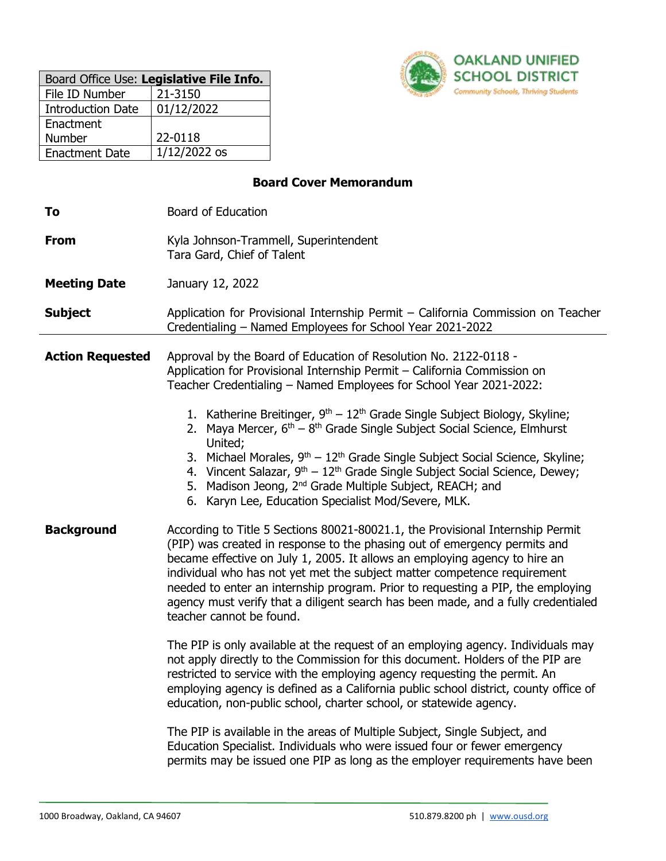| Board Office Use: Legislative File Info. |              |  |
|------------------------------------------|--------------|--|
| File ID Number                           | 21-3150      |  |
| <b>Introduction Date</b>                 | 01/12/2022   |  |
| Enactment                                |              |  |
| <b>Number</b>                            | 22-0118      |  |
| <b>Enactment Date</b>                    | 1/12/2022 os |  |



### **Board Cover Memorandum**

| To                      | <b>Board of Education</b>                                                                                                                                                                                                                                                                                                                                                                                                                                                                                                                                                                                                                                                                                                                                                                                                                                                                                                                                                                                                                                                                                                                                                             |  |
|-------------------------|---------------------------------------------------------------------------------------------------------------------------------------------------------------------------------------------------------------------------------------------------------------------------------------------------------------------------------------------------------------------------------------------------------------------------------------------------------------------------------------------------------------------------------------------------------------------------------------------------------------------------------------------------------------------------------------------------------------------------------------------------------------------------------------------------------------------------------------------------------------------------------------------------------------------------------------------------------------------------------------------------------------------------------------------------------------------------------------------------------------------------------------------------------------------------------------|--|
| <b>From</b>             | Kyla Johnson-Trammell, Superintendent<br>Tara Gard, Chief of Talent                                                                                                                                                                                                                                                                                                                                                                                                                                                                                                                                                                                                                                                                                                                                                                                                                                                                                                                                                                                                                                                                                                                   |  |
| <b>Meeting Date</b>     | January 12, 2022                                                                                                                                                                                                                                                                                                                                                                                                                                                                                                                                                                                                                                                                                                                                                                                                                                                                                                                                                                                                                                                                                                                                                                      |  |
| <b>Subject</b>          | Application for Provisional Internship Permit - California Commission on Teacher<br>Credentialing - Named Employees for School Year 2021-2022                                                                                                                                                                                                                                                                                                                                                                                                                                                                                                                                                                                                                                                                                                                                                                                                                                                                                                                                                                                                                                         |  |
| <b>Action Requested</b> | Approval by the Board of Education of Resolution No. 2122-0118 -<br>Application for Provisional Internship Permit - California Commission on<br>Teacher Credentialing - Named Employees for School Year 2021-2022:<br>1. Katherine Breitinger, 9 <sup>th</sup> - 12 <sup>th</sup> Grade Single Subject Biology, Skyline;<br>2. Maya Mercer, $6th - 8th$ Grade Single Subject Social Science, Elmhurst<br>United;<br>3. Michael Morales, $9th - 12th$ Grade Single Subject Social Science, Skyline;<br>4. Vincent Salazar, $9th - 12th$ Grade Single Subject Social Science, Dewey;<br>5. Madison Jeong, 2 <sup>nd</sup> Grade Multiple Subject, REACH; and<br>6. Karyn Lee, Education Specialist Mod/Severe, MLK.                                                                                                                                                                                                                                                                                                                                                                                                                                                                     |  |
| <b>Background</b>       | According to Title 5 Sections 80021-80021.1, the Provisional Internship Permit<br>(PIP) was created in response to the phasing out of emergency permits and<br>became effective on July 1, 2005. It allows an employing agency to hire an<br>individual who has not yet met the subject matter competence requirement<br>needed to enter an internship program. Prior to requesting a PIP, the employing<br>agency must verify that a diligent search has been made, and a fully credentialed<br>teacher cannot be found.<br>The PIP is only available at the request of an employing agency. Individuals may<br>not apply directly to the Commission for this document. Holders of the PIP are<br>restricted to service with the employing agency requesting the permit. An<br>employing agency is defined as a California public school district, county office of<br>education, non-public school, charter school, or statewide agency.<br>The PIP is available in the areas of Multiple Subject, Single Subject, and<br>Education Specialist. Individuals who were issued four or fewer emergency<br>permits may be issued one PIP as long as the employer requirements have been |  |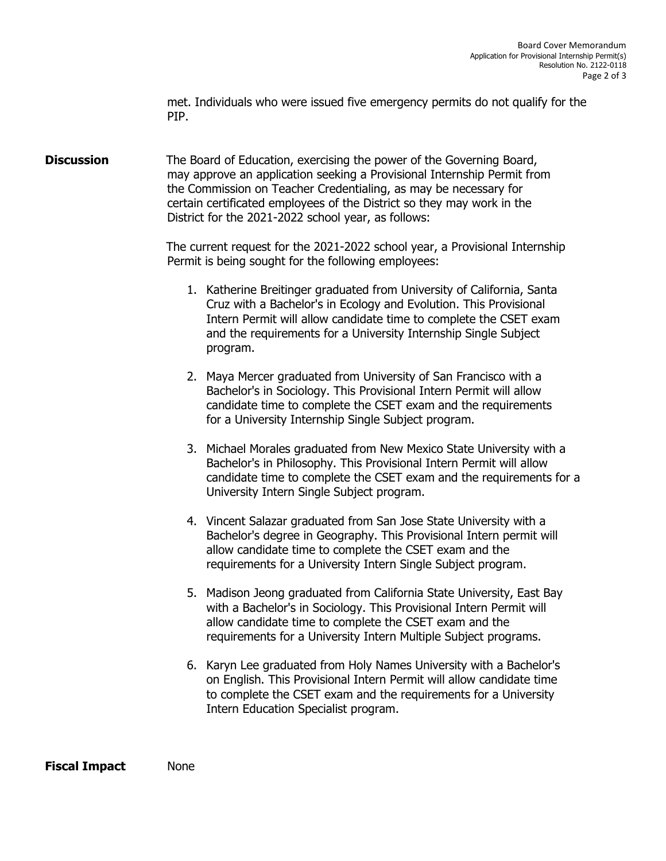met. Individuals who were issued five emergency permits do not qualify for the PIP.

**Discussion** The Board of Education, exercising the power of the Governing Board, may approve an application seeking a Provisional Internship Permit from the Commission on Teacher Credentialing, as may be necessary for certain certificated employees of the District so they may work in the District for the 2021-2022 school year, as follows:

> The current request for the 2021-2022 school year, a Provisional Internship Permit is being sought for the following employees:

- 1. Katherine Breitinger graduated from University of California, Santa Cruz with a Bachelor's in Ecology and Evolution. This Provisional Intern Permit will allow candidate time to complete the CSET exam and the requirements for a University Internship Single Subject program.
- 2. Maya Mercer graduated from University of San Francisco with a Bachelor's in Sociology. This Provisional Intern Permit will allow candidate time to complete the CSET exam and the requirements for a University Internship Single Subject program.
- 3. Michael Morales graduated from New Mexico State University with a Bachelor's in Philosophy. This Provisional Intern Permit will allow candidate time to complete the CSET exam and the requirements for a University Intern Single Subject program.
- 4. Vincent Salazar graduated from San Jose State University with a Bachelor's degree in Geography. This Provisional Intern permit will allow candidate time to complete the CSET exam and the requirements for a University Intern Single Subject program.
- 5. Madison Jeong graduated from California State University, East Bay with a Bachelor's in Sociology. This Provisional Intern Permit will allow candidate time to complete the CSET exam and the requirements for a University Intern Multiple Subject programs.
- 6. Karyn Lee graduated from Holy Names University with a Bachelor's on English. This Provisional Intern Permit will allow candidate time to complete the CSET exam and the requirements for a University Intern Education Specialist program.

**Fiscal Impact** None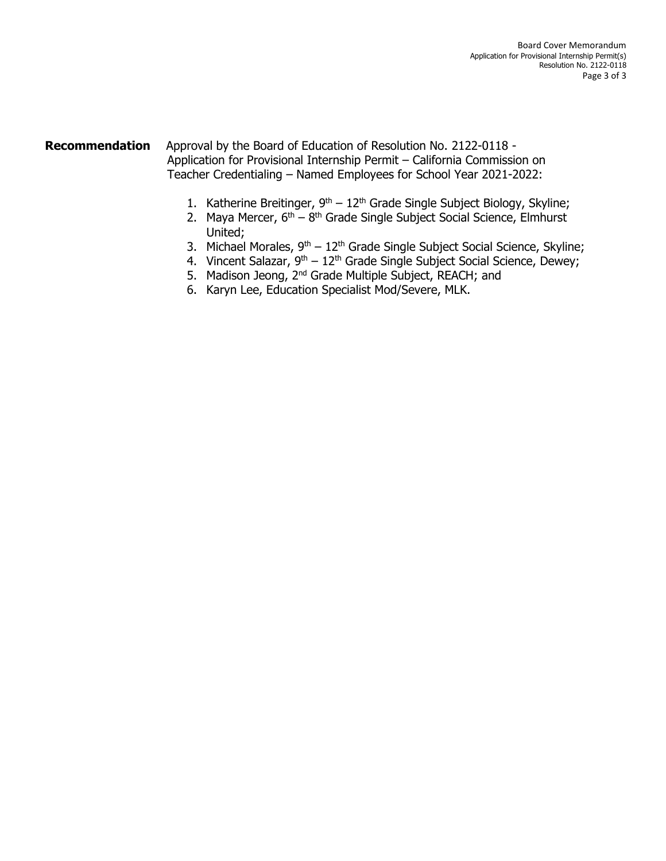### **Recommendation** Approval by the Board of Education of Resolution No. 2122-0118 - Application for Provisional Internship Permit – California Commission on Teacher Credentialing – Named Employees for School Year 2021-2022:

- 1. Katherine Breitinger,  $9<sup>th</sup> 12<sup>th</sup>$  Grade Single Subject Biology, Skyline;
- 2. Maya Mercer, 6<sup>th</sup> 8<sup>th</sup> Grade Single Subject Social Science, Elmhurst United;
- 3. Michael Morales,  $9<sup>th</sup> 12<sup>th</sup>$  Grade Single Subject Social Science, Skyline;
- 4. Vincent Salazar,  $9^{th} 12^{th}$  Grade Single Subject Social Science, Dewey;
- 5. Madison Jeong, 2<sup>nd</sup> Grade Multiple Subject, REACH; and
- 6. Karyn Lee, Education Specialist Mod/Severe, MLK.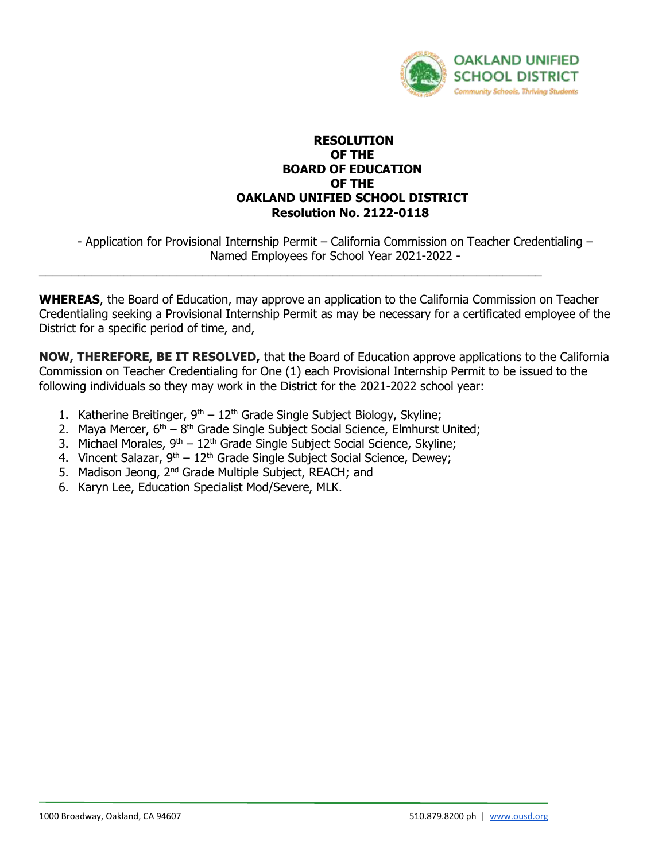

#### **RESOLUTION OF THE BOARD OF EDUCATION OF THE OAKLAND UNIFIED SCHOOL DISTRICT Resolution No. 2122-0118**

- Application for Provisional Internship Permit – California Commission on Teacher Credentialing – Named Employees for School Year 2021-2022 -

**WHEREAS**, the Board of Education, may approve an application to the California Commission on Teacher Credentialing seeking a Provisional Internship Permit as may be necessary for a certificated employee of the District for a specific period of time, and,

\_\_\_\_\_\_\_\_\_\_\_\_\_\_\_\_\_\_\_\_\_\_\_\_\_\_\_\_\_\_\_\_\_\_\_\_\_\_\_\_\_\_\_\_\_\_\_\_\_\_\_\_\_\_\_\_\_\_\_\_\_\_\_\_\_\_\_\_\_\_\_\_\_\_\_\_\_

**NOW, THEREFORE, BE IT RESOLVED,** that the Board of Education approve applications to the California Commission on Teacher Credentialing for One (1) each Provisional Internship Permit to be issued to the following individuals so they may work in the District for the 2021-2022 school year:

- 1. Katherine Breitinger,  $9<sup>th</sup> 12<sup>th</sup>$  Grade Single Subject Biology, Skyline;
- 2. Maya Mercer,  $6<sup>th</sup> 8<sup>th</sup>$  Grade Single Subject Social Science, Elmhurst United;
- 3. Michael Morales,  $9<sup>th</sup> 12<sup>th</sup>$  Grade Single Subject Social Science, Skyline;
- 4. Vincent Salazar,  $9^{th} 12^{th}$  Grade Single Subject Social Science, Dewey;
- 5. Madison Jeong, 2<sup>nd</sup> Grade Multiple Subject, REACH; and
- 6. Karyn Lee, Education Specialist Mod/Severe, MLK.